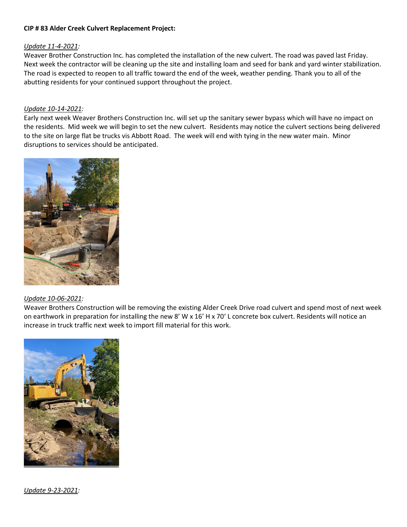## **CIP # 83 Alder Creek Culvert Replacement Project:**

## *Update 11-4-2021:*

Weaver Brother Construction Inc. has completed the installation of the new culvert. The road was paved last Friday. Next week the contractor will be cleaning up the site and installing loam and seed for bank and yard winter stabilization. The road is expected to reopen to all traffic toward the end of the week, weather pending. Thank you to all of the abutting residents for your continued support throughout the project.

## *Update 10-14-2021:*

Early next week Weaver Brothers Construction Inc. will set up the sanitary sewer bypass which will have no impact on the residents. Mid week we will begin to set the new culvert. Residents may notice the culvert sections being delivered to the site on large flat be trucks vis Abbott Road. The week will end with tying in the new water main. Minor disruptions to services should be anticipated.



## *Update 10-06-2021:*

Weaver Brothers Construction will be removing the existing Alder Creek Drive road culvert and spend most of next week on earthwork in preparation for installing the new 8' W x 16' H x 70' L concrete box culvert. Residents will notice an increase in truck traffic next week to import fill material for this work.



*Update 9-23-2021:*